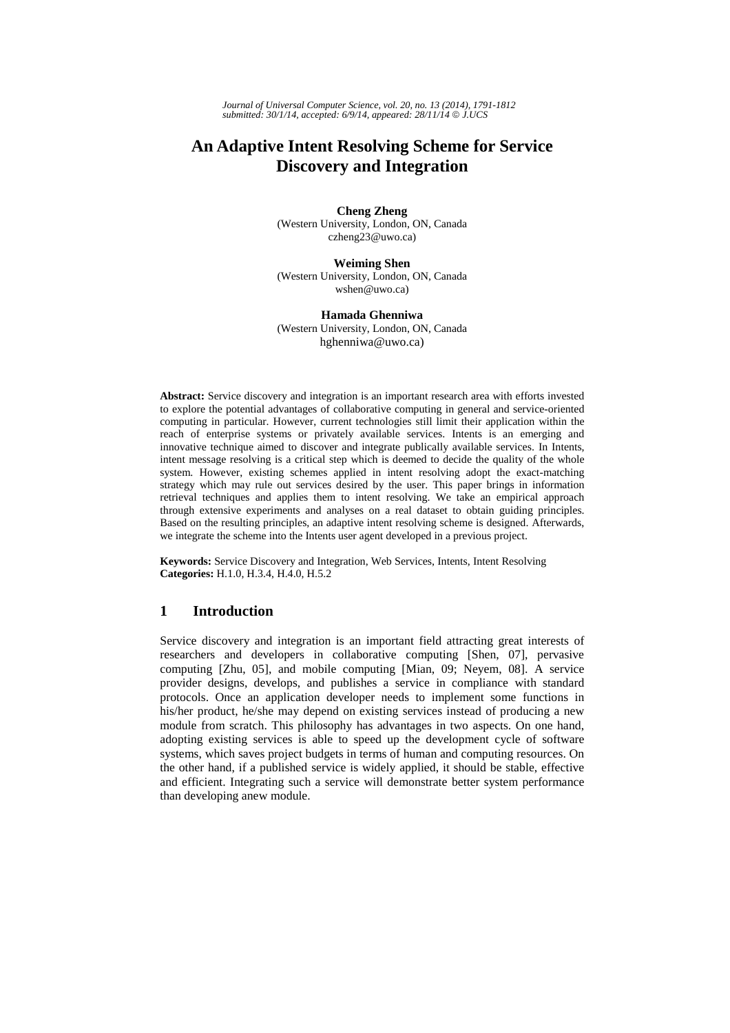*Journal of Universal Computer Science, vol. 20, no. 13 (2014), 1791-1812 submitted: 30/1/14, accepted: 6/9/14, appeared: 28/11/14* © *J.UCS*

# **An Adaptive Intent Resolving Scheme for Service Discovery and Integration**

**Cheng Zheng**  (Western University, London, ON, Canada czheng23@uwo.ca)

**Weiming Shen** (Western University, London, ON, Canada wshen@uwo.ca)

**Hamada Ghenniwa**  (Western University, London, ON, Canada hghenniwa@uwo.ca)

**Abstract:** Service discovery and integration is an important research area with efforts invested to explore the potential advantages of collaborative computing in general and service-oriented computing in particular. However, current technologies still limit their application within the reach of enterprise systems or privately available services. Intents is an emerging and innovative technique aimed to discover and integrate publically available services. In Intents, intent message resolving is a critical step which is deemed to decide the quality of the whole system. However, existing schemes applied in intent resolving adopt the exact-matching strategy which may rule out services desired by the user. This paper brings in information retrieval techniques and applies them to intent resolving. We take an empirical approach through extensive experiments and analyses on a real dataset to obtain guiding principles. Based on the resulting principles, an adaptive intent resolving scheme is designed. Afterwards, we integrate the scheme into the Intents user agent developed in a previous project.

**Keywords:** Service Discovery and Integration, Web Services, Intents, Intent Resolving **Categories:** H.1.0, H.3.4, H.4.0, H.5.2

# **1 Introduction**

Service discovery and integration is an important field attracting great interests of researchers and developers in collaborative computing [Shen, 07], pervasive computing [Zhu, 05], and mobile computing [Mian, 09; Neyem, 08]. A service provider designs, develops, and publishes a service in compliance with standard protocols. Once an application developer needs to implement some functions in his/her product, he/she may depend on existing services instead of producing a new module from scratch. This philosophy has advantages in two aspects. On one hand, adopting existing services is able to speed up the development cycle of software systems, which saves project budgets in terms of human and computing resources. On the other hand, if a published service is widely applied, it should be stable, effective and efficient. Integrating such a service will demonstrate better system performance than developing anew module.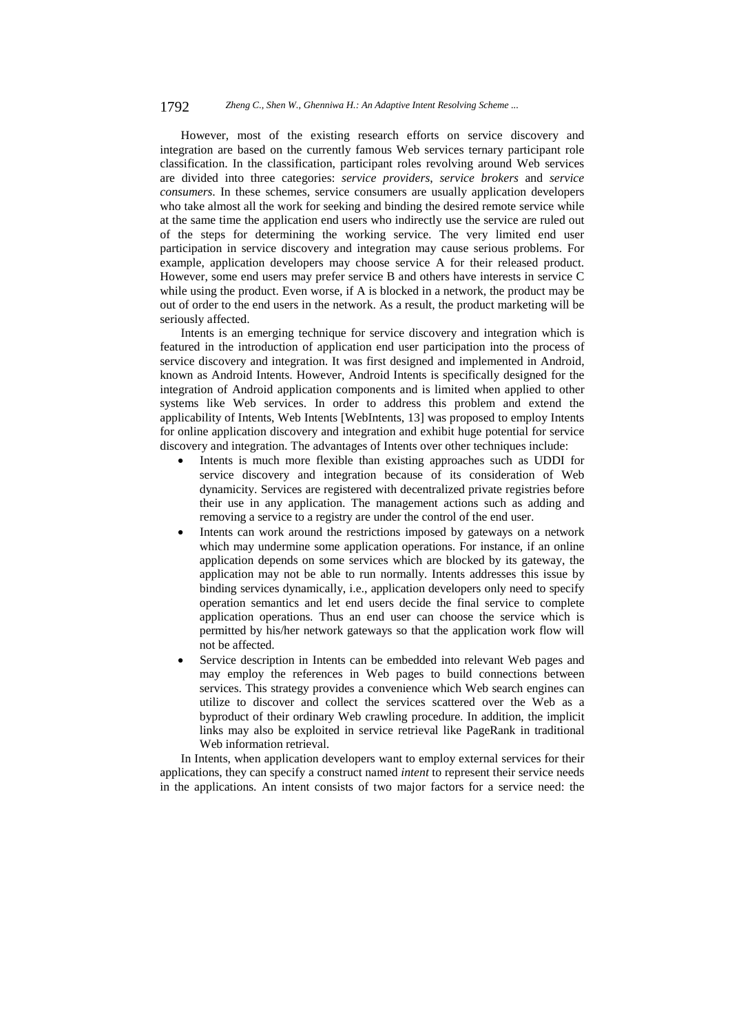#### 1792 *Zheng C., Shen W., Ghenniwa H.: An Adaptive Intent Resolving Scheme ...*

However, most of the existing research efforts on service discovery and integration are based on the currently famous Web services ternary participant role classification. In the classification, participant roles revolving around Web services are divided into three categories: *service providers*, *service brokers* and *service consumers*. In these schemes, service consumers are usually application developers who take almost all the work for seeking and binding the desired remote service while at the same time the application end users who indirectly use the service are ruled out of the steps for determining the working service. The very limited end user participation in service discovery and integration may cause serious problems. For example, application developers may choose service A for their released product. However, some end users may prefer service B and others have interests in service C while using the product. Even worse, if A is blocked in a network, the product may be out of order to the end users in the network. As a result, the product marketing will be seriously affected.

Intents is an emerging technique for service discovery and integration which is featured in the introduction of application end user participation into the process of service discovery and integration. It was first designed and implemented in Android, known as Android Intents. However, Android Intents is specifically designed for the integration of Android application components and is limited when applied to other systems like Web services. In order to address this problem and extend the applicability of Intents, Web Intents [WebIntents, 13] was proposed to employ Intents for online application discovery and integration and exhibit huge potential for service discovery and integration. The advantages of Intents over other techniques include:

- Intents is much more flexible than existing approaches such as UDDI for service discovery and integration because of its consideration of Web dynamicity. Services are registered with decentralized private registries before their use in any application. The management actions such as adding and removing a service to a registry are under the control of the end user.
- Intents can work around the restrictions imposed by gateways on a network which may undermine some application operations. For instance, if an online application depends on some services which are blocked by its gateway, the application may not be able to run normally. Intents addresses this issue by binding services dynamically, i.e., application developers only need to specify operation semantics and let end users decide the final service to complete application operations. Thus an end user can choose the service which is permitted by his/her network gateways so that the application work flow will not be affected.
- Service description in Intents can be embedded into relevant Web pages and may employ the references in Web pages to build connections between services. This strategy provides a convenience which Web search engines can utilize to discover and collect the services scattered over the Web as a byproduct of their ordinary Web crawling procedure. In addition, the implicit links may also be exploited in service retrieval like PageRank in traditional Web information retrieval.

In Intents, when application developers want to employ external services for their applications, they can specify a construct named *intent* to represent their service needs in the applications. An intent consists of two major factors for a service need: the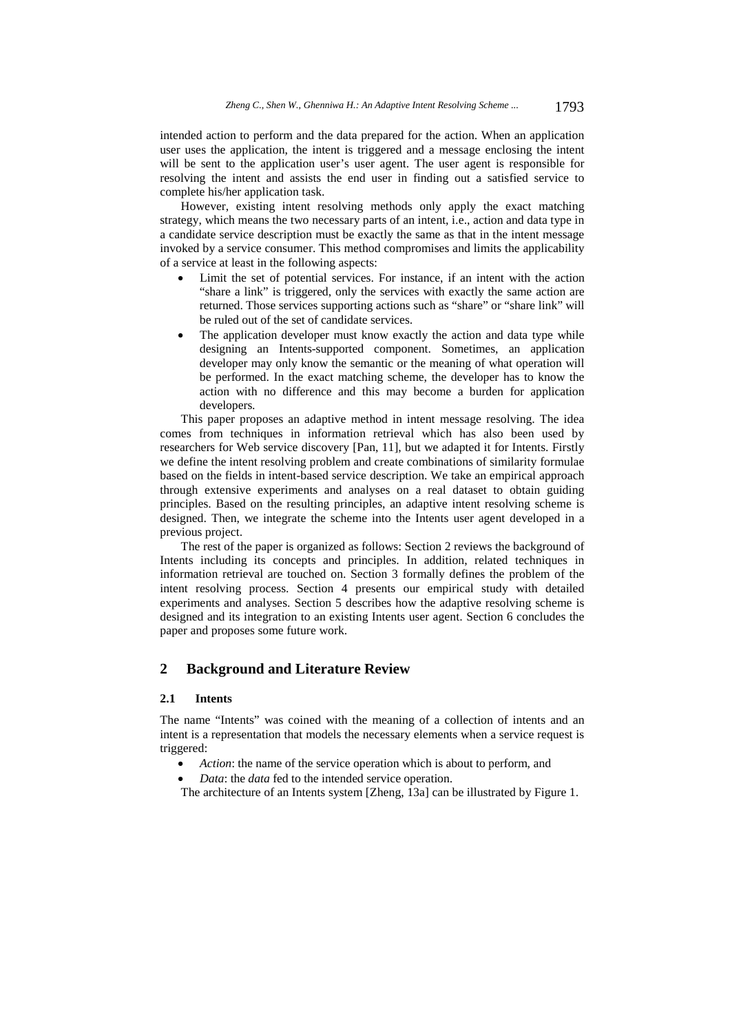intended action to perform and the data prepared for the action. When an application user uses the application, the intent is triggered and a message enclosing the intent will be sent to the application user's user agent. The user agent is responsible for resolving the intent and assists the end user in finding out a satisfied service to complete his/her application task.

However, existing intent resolving methods only apply the exact matching strategy, which means the two necessary parts of an intent, i.e., action and data type in a candidate service description must be exactly the same as that in the intent message invoked by a service consumer. This method compromises and limits the applicability of a service at least in the following aspects:

- Limit the set of potential services. For instance, if an intent with the action "share a link" is triggered, only the services with exactly the same action are returned. Those services supporting actions such as "share" or "share link" will be ruled out of the set of candidate services.
- The application developer must know exactly the action and data type while designing an Intents-supported component. Sometimes, an application developer may only know the semantic or the meaning of what operation will be performed. In the exact matching scheme, the developer has to know the action with no difference and this may become a burden for application developers.

This paper proposes an adaptive method in intent message resolving. The idea comes from techniques in information retrieval which has also been used by researchers for Web service discovery [Pan, 11], but we adapted it for Intents. Firstly we define the intent resolving problem and create combinations of similarity formulae based on the fields in intent-based service description. We take an empirical approach through extensive experiments and analyses on a real dataset to obtain guiding principles. Based on the resulting principles, an adaptive intent resolving scheme is designed. Then, we integrate the scheme into the Intents user agent developed in a previous project.

The rest of the paper is organized as follows: Section 2 reviews the background of Intents including its concepts and principles. In addition, related techniques in information retrieval are touched on. Section 3 formally defines the problem of the intent resolving process. Section 4 presents our empirical study with detailed experiments and analyses. Section 5 describes how the adaptive resolving scheme is designed and its integration to an existing Intents user agent. Section 6 concludes the paper and proposes some future work.

# **2 Background and Literature Review**

#### **2.1 Intents**

The name "Intents" was coined with the meaning of a collection of intents and an intent is a representation that models the necessary elements when a service request is triggered:

- *Action*: the name of the service operation which is about to perform, and
- *Data*: the *data* fed to the intended service operation.
- The architecture of an Intents system [Zheng, 13a] can be illustrated by Figure 1.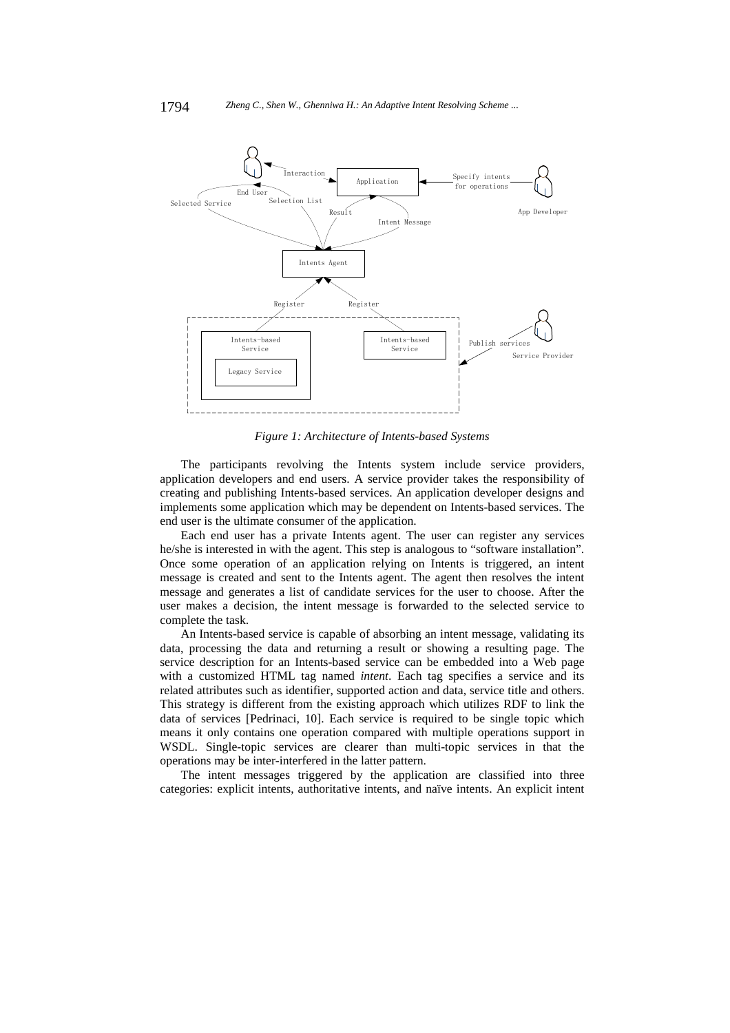

*Figure 1: Architecture of Intents-based Systems* 

The participants revolving the Intents system include service providers, application developers and end users. A service provider takes the responsibility of creating and publishing Intents-based services. An application developer designs and implements some application which may be dependent on Intents-based services. The end user is the ultimate consumer of the application.

Each end user has a private Intents agent. The user can register any services he/she is interested in with the agent. This step is analogous to "software installation". Once some operation of an application relying on Intents is triggered, an intent message is created and sent to the Intents agent. The agent then resolves the intent message and generates a list of candidate services for the user to choose. After the user makes a decision, the intent message is forwarded to the selected service to complete the task.

An Intents-based service is capable of absorbing an intent message, validating its data, processing the data and returning a result or showing a resulting page. The service description for an Intents-based service can be embedded into a Web page with a customized HTML tag named *intent*. Each tag specifies a service and its related attributes such as identifier, supported action and data, service title and others. This strategy is different from the existing approach which utilizes RDF to link the data of services [Pedrinaci, 10]. Each service is required to be single topic which means it only contains one operation compared with multiple operations support in WSDL. Single-topic services are clearer than multi-topic services in that the operations may be inter-interfered in the latter pattern.

The intent messages triggered by the application are classified into three categories: explicit intents, authoritative intents, and naïve intents. An explicit intent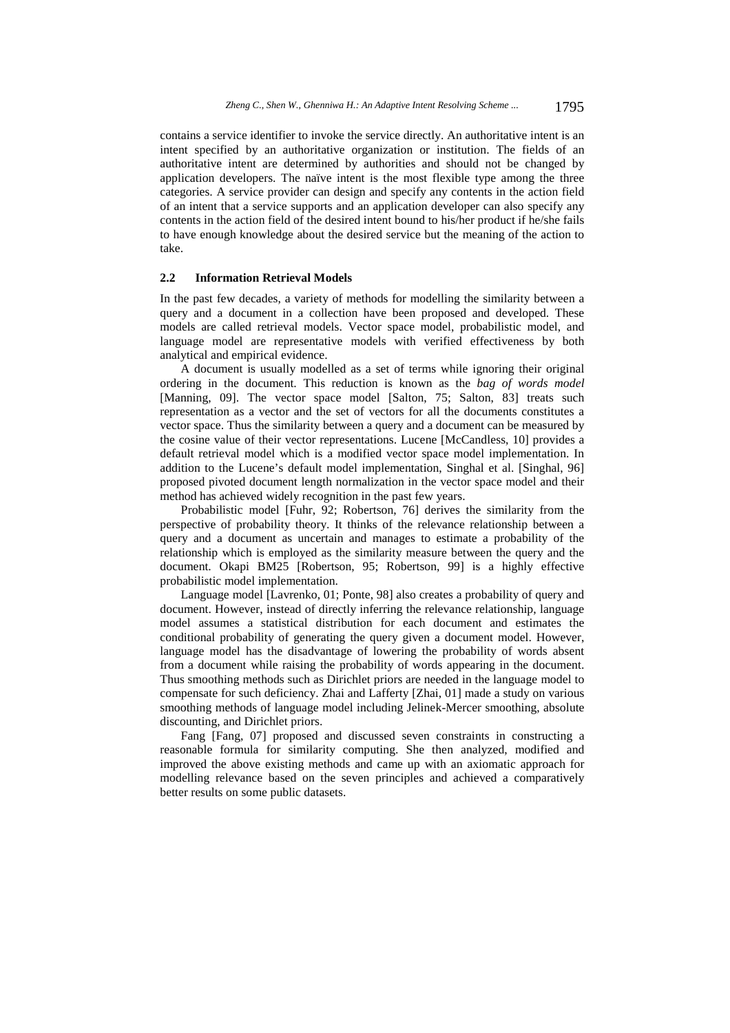contains a service identifier to invoke the service directly. An authoritative intent is an intent specified by an authoritative organization or institution. The fields of an authoritative intent are determined by authorities and should not be changed by application developers. The naïve intent is the most flexible type among the three categories. A service provider can design and specify any contents in the action field of an intent that a service supports and an application developer can also specify any contents in the action field of the desired intent bound to his/her product if he/she fails to have enough knowledge about the desired service but the meaning of the action to take.

### **2.2 Information Retrieval Models**

In the past few decades, a variety of methods for modelling the similarity between a query and a document in a collection have been proposed and developed. These models are called retrieval models. Vector space model, probabilistic model, and language model are representative models with verified effectiveness by both analytical and empirical evidence.

A document is usually modelled as a set of terms while ignoring their original ordering in the document. This reduction is known as the *bag of words model*  [Manning, 09]. The vector space model [Salton, 75; Salton, 83] treats such representation as a vector and the set of vectors for all the documents constitutes a vector space. Thus the similarity between a query and a document can be measured by the cosine value of their vector representations. Lucene [McCandless, 10] provides a default retrieval model which is a modified vector space model implementation. In addition to the Lucene's default model implementation, Singhal et al. [Singhal, 96] proposed pivoted document length normalization in the vector space model and their method has achieved widely recognition in the past few years.

Probabilistic model [Fuhr, 92; Robertson, 76] derives the similarity from the perspective of probability theory. It thinks of the relevance relationship between a query and a document as uncertain and manages to estimate a probability of the relationship which is employed as the similarity measure between the query and the document. Okapi BM25 [Robertson, 95; Robertson, 99] is a highly effective probabilistic model implementation.

Language model [Lavrenko, 01; Ponte, 98] also creates a probability of query and document. However, instead of directly inferring the relevance relationship, language model assumes a statistical distribution for each document and estimates the conditional probability of generating the query given a document model. However, language model has the disadvantage of lowering the probability of words absent from a document while raising the probability of words appearing in the document. Thus smoothing methods such as Dirichlet priors are needed in the language model to compensate for such deficiency. Zhai and Lafferty [Zhai, 01] made a study on various smoothing methods of language model including Jelinek-Mercer smoothing, absolute discounting, and Dirichlet priors.

Fang [Fang, 07] proposed and discussed seven constraints in constructing a reasonable formula for similarity computing. She then analyzed, modified and improved the above existing methods and came up with an axiomatic approach for modelling relevance based on the seven principles and achieved a comparatively better results on some public datasets.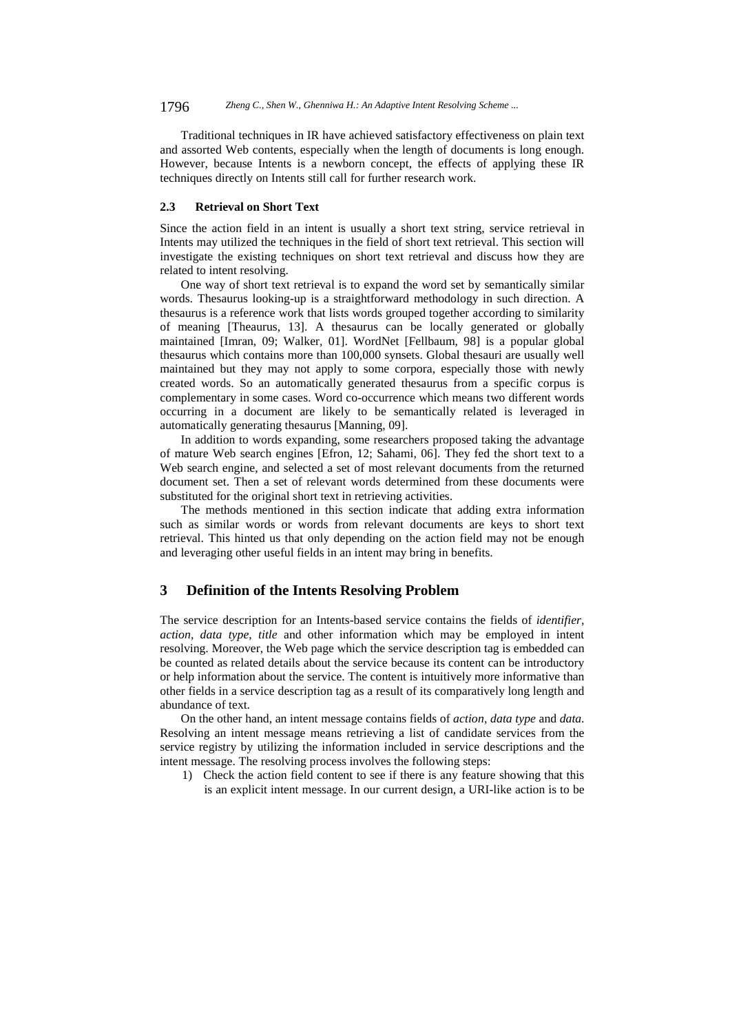1796 *Zheng C., Shen W., Ghenniwa H.: An Adaptive Intent Resolving Scheme ...*

Traditional techniques in IR have achieved satisfactory effectiveness on plain text and assorted Web contents, especially when the length of documents is long enough. However, because Intents is a newborn concept, the effects of applying these IR techniques directly on Intents still call for further research work.

#### **2.3 Retrieval on Short Text**

Since the action field in an intent is usually a short text string, service retrieval in Intents may utilized the techniques in the field of short text retrieval. This section will investigate the existing techniques on short text retrieval and discuss how they are related to intent resolving.

One way of short text retrieval is to expand the word set by semantically similar words. Thesaurus looking-up is a straightforward methodology in such direction. A thesaurus is a reference work that lists words grouped together according to similarity of meaning [Theaurus, 13]. A thesaurus can be locally generated or globally maintained [Imran, 09; Walker, 01]. WordNet [Fellbaum, 98] is a popular global thesaurus which contains more than 100,000 synsets. Global thesauri are usually well maintained but they may not apply to some corpora, especially those with newly created words. So an automatically generated thesaurus from a specific corpus is complementary in some cases. Word co-occurrence which means two different words occurring in a document are likely to be semantically related is leveraged in automatically generating thesaurus [Manning, 09].

In addition to words expanding, some researchers proposed taking the advantage of mature Web search engines [Efron, 12; Sahami, 06]. They fed the short text to a Web search engine, and selected a set of most relevant documents from the returned document set. Then a set of relevant words determined from these documents were substituted for the original short text in retrieving activities.

The methods mentioned in this section indicate that adding extra information such as similar words or words from relevant documents are keys to short text retrieval. This hinted us that only depending on the action field may not be enough and leveraging other useful fields in an intent may bring in benefits.

# **3 Definition of the Intents Resolving Problem**

The service description for an Intents-based service contains the fields of *identifier, action*, *data type*, *title* and other information which may be employed in intent resolving. Moreover, the Web page which the service description tag is embedded can be counted as related details about the service because its content can be introductory or help information about the service. The content is intuitively more informative than other fields in a service description tag as a result of its comparatively long length and abundance of text.

On the other hand, an intent message contains fields of *action*, *data type* and *data*. Resolving an intent message means retrieving a list of candidate services from the service registry by utilizing the information included in service descriptions and the intent message. The resolving process involves the following steps:

1) Check the action field content to see if there is any feature showing that this is an explicit intent message. In our current design, a URI-like action is to be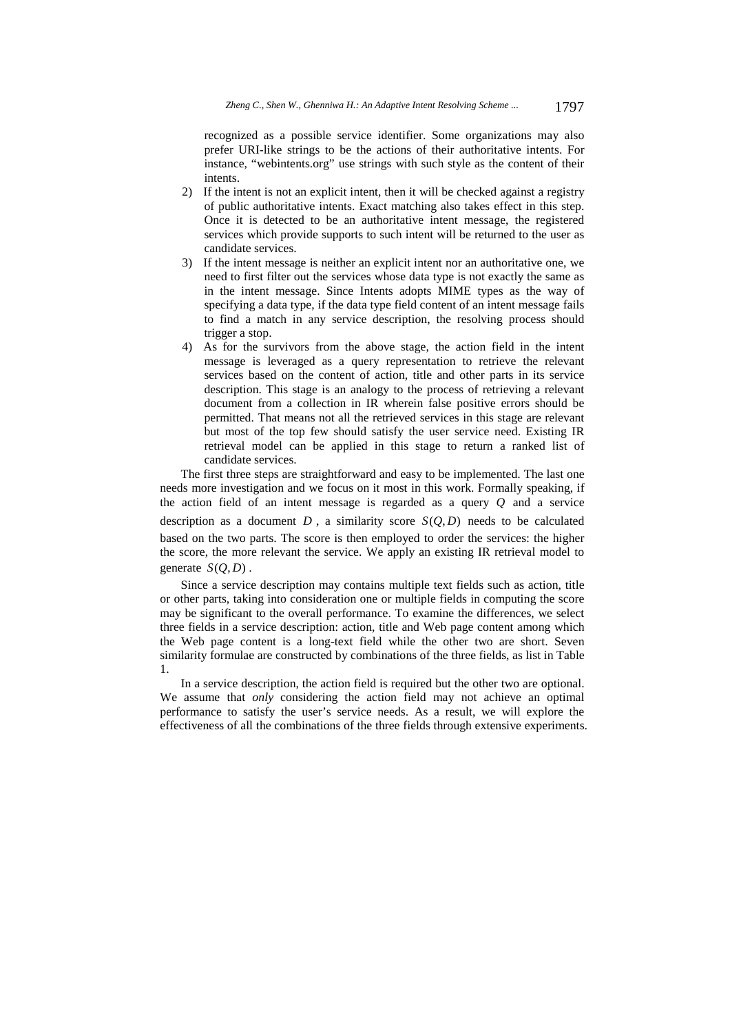recognized as a possible service identifier. Some organizations may also prefer URI-like strings to be the actions of their authoritative intents. For instance, "webintents.org" use strings with such style as the content of their intents.

- 2) If the intent is not an explicit intent, then it will be checked against a registry of public authoritative intents. Exact matching also takes effect in this step. Once it is detected to be an authoritative intent message, the registered services which provide supports to such intent will be returned to the user as candidate services.
- 3) If the intent message is neither an explicit intent nor an authoritative one, we need to first filter out the services whose data type is not exactly the same as in the intent message. Since Intents adopts MIME types as the way of specifying a data type, if the data type field content of an intent message fails to find a match in any service description, the resolving process should trigger a stop.
- 4) As for the survivors from the above stage, the action field in the intent message is leveraged as a query representation to retrieve the relevant services based on the content of action, title and other parts in its service description. This stage is an analogy to the process of retrieving a relevant document from a collection in IR wherein false positive errors should be permitted. That means not all the retrieved services in this stage are relevant but most of the top few should satisfy the user service need. Existing IR retrieval model can be applied in this stage to return a ranked list of candidate services.

The first three steps are straightforward and easy to be implemented. The last one needs more investigation and we focus on it most in this work. Formally speaking, if the action field of an intent message is regarded as a query *Q* and a service description as a document  $D$ , a similarity score  $S(Q, D)$  needs to be calculated based on the two parts. The score is then employed to order the services: the higher the score, the more relevant the service. We apply an existing IR retrieval model to generate  $S(O, D)$ .

Since a service description may contains multiple text fields such as action, title or other parts, taking into consideration one or multiple fields in computing the score may be significant to the overall performance. To examine the differences, we select three fields in a service description: action, title and Web page content among which the Web page content is a long-text field while the other two are short. Seven similarity formulae are constructed by combinations of the three fields, as list in Table 1.

In a service description, the action field is required but the other two are optional. We assume that *only* considering the action field may not achieve an optimal performance to satisfy the user's service needs. As a result, we will explore the effectiveness of all the combinations of the three fields through extensive experiments.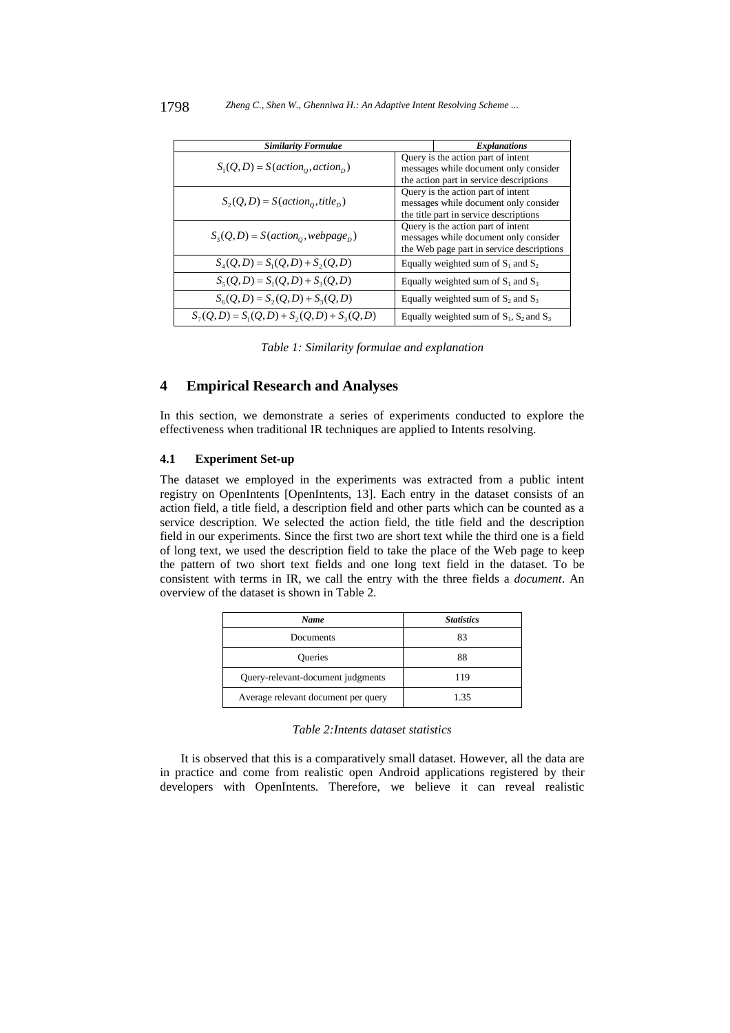| <b>Similarity Formulae</b>                      |                                                                                                                          | <b>Explanations</b>                                                                                                   |
|-------------------------------------------------|--------------------------------------------------------------------------------------------------------------------------|-----------------------------------------------------------------------------------------------------------------------|
| $S_1(Q, D) = S(action_0, action_D)$             | Query is the action part of intent<br>messages while document only consider<br>the action part in service descriptions   |                                                                                                                       |
| $S_2(Q,D) = S(action_0, title_D)$               |                                                                                                                          | Query is the action part of intent<br>messages while document only consider<br>the title part in service descriptions |
| $S_3(Q,D) = S(action_0, webpage_D)$             | Query is the action part of intent<br>messages while document only consider<br>the Web page part in service descriptions |                                                                                                                       |
| $S_4(Q, D) = S_1(Q, D) + S_2(Q, D)$             |                                                                                                                          | Equally weighted sum of $S_1$ and $S_2$                                                                               |
| $S_5(Q, D) = S_1(Q, D) + S_3(Q, D)$             |                                                                                                                          | Equally weighted sum of $S_1$ and $S_3$                                                                               |
| $S_6(Q, D) = S_2(Q, D) + S_3(Q, D)$             |                                                                                                                          | Equally weighted sum of $S_2$ and $S_3$                                                                               |
| $S_7(Q, D) = S_1(Q, D) + S_2(Q, D) + S_3(Q, D)$ |                                                                                                                          | Equally weighted sum of $S_1$ , $S_2$ and $S_3$                                                                       |

*Table 1: Similarity formulae and explanation* 

# **4 Empirical Research and Analyses**

In this section, we demonstrate a series of experiments conducted to explore the effectiveness when traditional IR techniques are applied to Intents resolving.

#### **4.1 Experiment Set-up**

The dataset we employed in the experiments was extracted from a public intent registry on OpenIntents [OpenIntents, 13]. Each entry in the dataset consists of an action field, a title field, a description field and other parts which can be counted as a service description. We selected the action field, the title field and the description field in our experiments. Since the first two are short text while the third one is a field of long text, we used the description field to take the place of the Web page to keep the pattern of two short text fields and one long text field in the dataset. To be consistent with terms in IR, we call the entry with the three fields a *document*. An overview of the dataset is shown in Table 2.

| Name                                | <b>Statistics</b> |
|-------------------------------------|-------------------|
| Documents                           | 83                |
| Queries                             | 88                |
| Query-relevant-document judgments   | 119               |
| Average relevant document per query | 1.35              |

It is observed that this is a comparatively small dataset. However, all the data are in practice and come from realistic open Android applications registered by their developers with OpenIntents. Therefore, we believe it can reveal realistic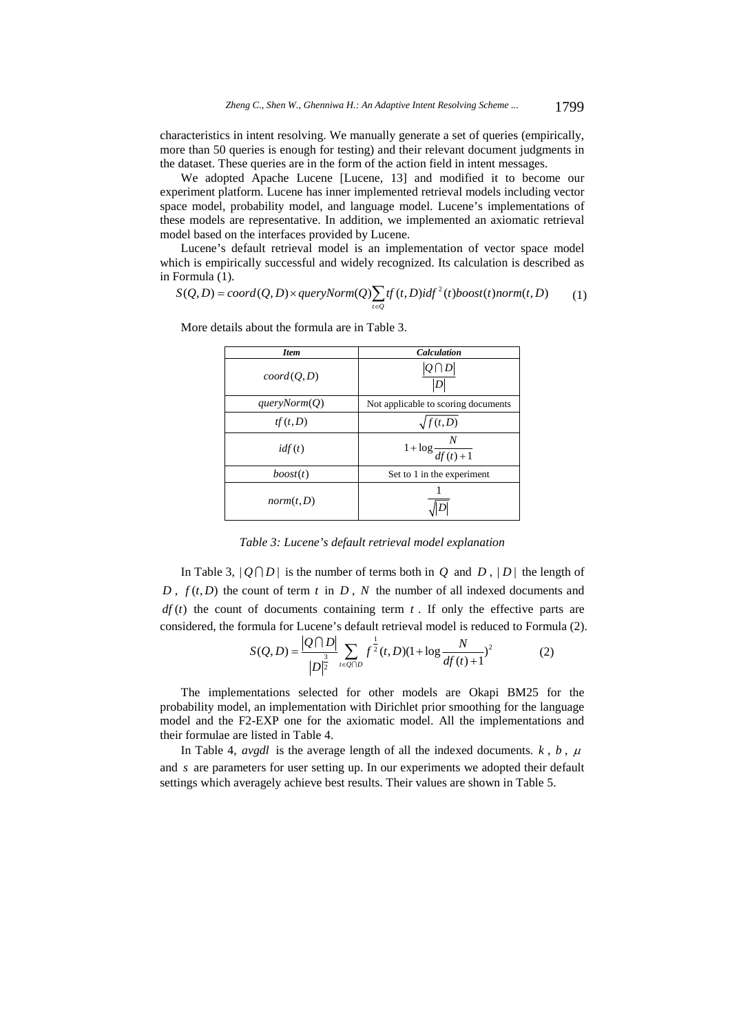characteristics in intent resolving. We manually generate a set of queries (empirically, more than 50 queries is enough for testing) and their relevant document judgments in the dataset. These queries are in the form of the action field in intent messages.

We adopted Apache Lucene [Lucene, 13] and modified it to become our experiment platform. Lucene has inner implemented retrieval models including vector space model, probability model, and language model. Lucene's implementations of these models are representative. In addition, we implemented an axiomatic retrieval model based on the interfaces provided by Lucene.

Lucene's default retrieval model is an implementation of vector space model which is empirically successful and widely recognized. Its calculation is described as

in Formula (1).<br>  $S(Q, D) = coord(Q, D) \times queryNorm(Q) \sum tf(t, D) idf^2(t) boost(t) norm(t, D)$ *t Q*  $S(Q, D) = coord(Q, D) \times queryNorm(Q) \sum tf(t, D) idf^{2}(t) boost(t) norm(t, D)$  $= coord(Q, D) \times queryNorm(Q) \sum_{t \in Q} tf(t, D) idf^{2}(t) boost(t) norm(t, D)$  (1)

| <b>Item</b>     | <b>Calculation</b>                  |
|-----------------|-------------------------------------|
| coord(Q, D)     | $ Q \bigcap D $                     |
| queryNorm $(Q)$ | Not applicable to scoring documents |
| tf(t,D)         | $\sqrt{f(t,D)}$                     |
| idf(t)          | $1 + \log \frac{N}{df(t) + 1}$      |
| boost(t)        | Set to 1 in the experiment          |
| norm(t,D)       |                                     |

More details about the formula are in Table 3.

*Table 3: Lucene's default retrieval model explanation*

In Table 3,  $|O \cap D|$  is the number of terms both in *Q* and *D*,  $|D|$  the length of *D*,  $f(t, D)$  the count of term *t* in *D*, *N* the number of all indexed documents and  $df(t)$  the count of documents containing term  $t$ . If only the effective parts are considered, the formula for Lucene's default retrieval model is reduced to Formula (2). 1

$$
S(Q, D) = \frac{|Q \cap D|}{|D|^{\frac{3}{2}}} \sum_{t \in Q \cap D} f^{\frac{1}{2}}(t, D)(1 + \log \frac{N}{df(t) + 1})^2
$$
 (2)

The implementations selected for other models are Okapi BM25 for the probability model, an implementation with Dirichlet prior smoothing for the language model and the F2-EXP one for the axiomatic model. All the implementations and their formulae are listed in Table 4.

In Table 4, *avgdl* is the average length of all the indexed documents.  $k$ ,  $b$ ,  $\mu$ and *s* are parameters for user setting up. In our experiments we adopted their default settings which averagely achieve best results. Their values are shown in Table 5.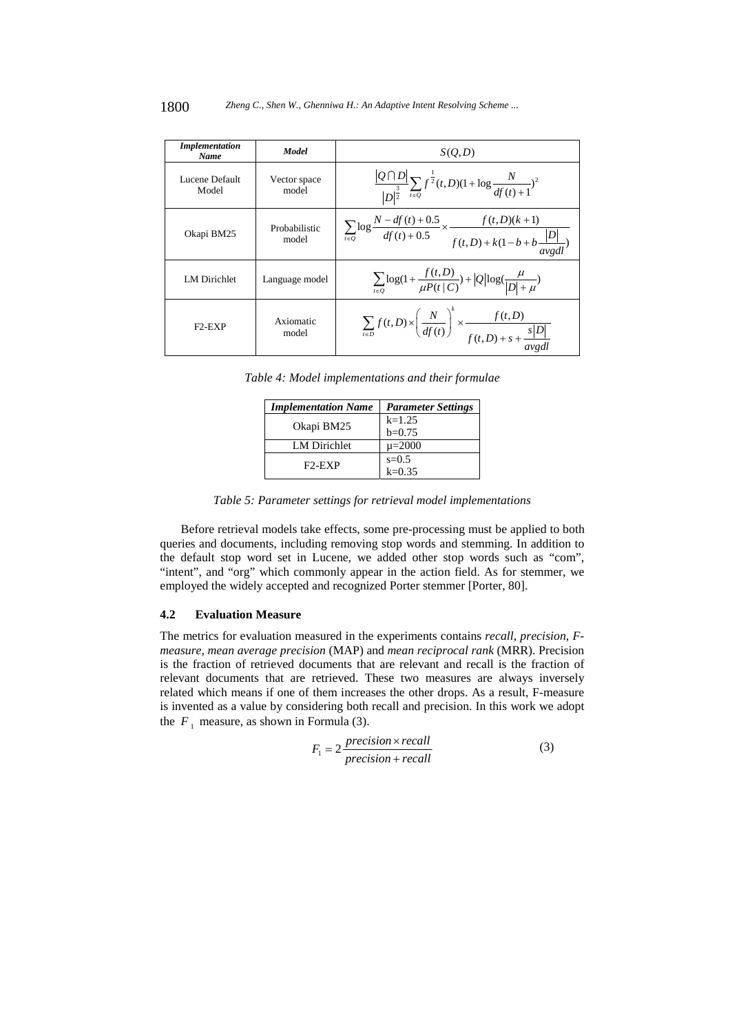| <i>Implementation</i><br>Name | Model                  | S(O,D)                                                                                                                                    |
|-------------------------------|------------------------|-------------------------------------------------------------------------------------------------------------------------------------------|
| Lucene Default<br>Model       | Vector space<br>model  | $\frac{ Q \cap D }{ D ^{\frac{3}{2}}}\sum_{t \in Q} f^{\frac{1}{2}}(t,D)(1+\log \frac{N}{df(t)+1})^2$                                     |
| Okapi BM25                    | Probabilistic<br>model | $\overline{\sum_{t \in Q} \log \frac{N - df(t) + 0.5}{df(t) + 0.5} \times \frac{f(t, D)(k+1)}{f(t, D) + k(1 - b + b \frac{ D }{avgdl})}}$ |
| <b>LM</b> Dirichlet           | Language model         | $\sum_{t \in Q} \log(1 + \frac{f(t, D)}{\mu P(t   C)}) +  Q  \log(\frac{\mu}{ D  + \mu})$                                                 |
| $F2-FXP$                      | Axiomatic<br>model     | $\sum_{t \in D} f(t, D) \times \left(\frac{N}{df(t)}\right)^{k} \times \frac{f(t, D)}{f(t, D) + s + \frac{s D }{dt}}$                     |

*Table 4: Model implementations and their formulae* 

| <b>Implementation Name</b> | <b>Parameter Settings</b> |
|----------------------------|---------------------------|
|                            | $k=1.25$                  |
| Okapi BM25                 | $b=0.75$                  |
| LM Dirichlet               | $\mu = 2000$              |
| $F2-FXP$                   | $s=0.5$                   |
|                            | $k = 0.35$                |

*Table 5: Parameter settings for retrieval model implementations* 

Before retrieval models take effects, some pre-processing must be applied to both queries and documents, including removing stop words and stemming. In addition to the default stop word set in Lucene, we added other stop words such as "com", "intent", and "org" which commonly appear in the action field. As for stemmer, we employed the widely accepted and recognized Porter stemmer [Porter, 80].

# **4.2 Evaluation Measure**

The metrics for evaluation measured in the experiments contains *recall*, *precision*, *Fmeasure, mean average precision* (MAP) and *mean reciprocal rank* (MRR). Precision is the fraction of retrieved documents that are relevant and recall is the fraction of relevant documents that are retrieved. These two measures are always inversely related which means if one of them increases the other drops. As a result, F-measure is invented as a value by considering both recall and precision. In this work we adopt the  $F_1$  measure, as shown in Formula (3).

$$
F_1 = 2 \frac{precision \times recall}{precision + recall}
$$
 (3)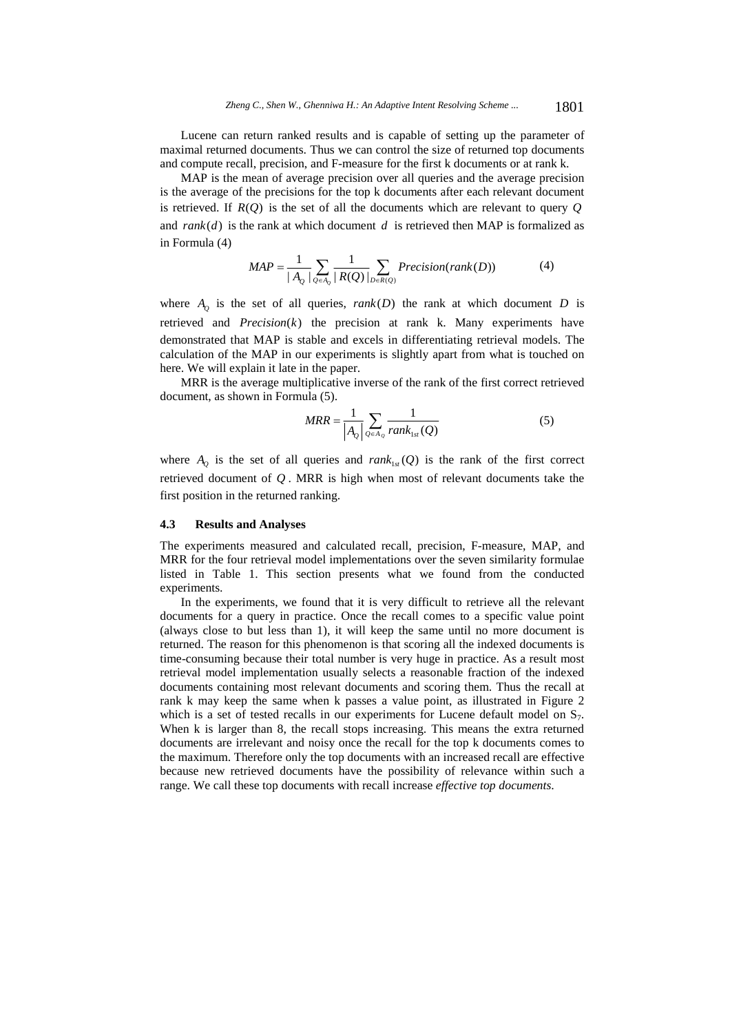Lucene can return ranked results and is capable of setting up the parameter of maximal returned documents. Thus we can control the size of returned top documents and compute recall, precision, and F-measure for the first k documents or at rank k.

MAP is the mean of average precision over all queries and the average precision is the average of the precisions for the top k documents after each relevant document is retrieved. If  $R(Q)$  is the set of all the documents which are relevant to query  $Q$ and  $rank(d)$  is the rank at which document  $d$  is retrieved then MAP is formalized as in Formula (4)

$$
MAP = \frac{1}{|A_Q|} \sum_{Q \in A_Q} \frac{1}{|R(Q)|} \sum_{D \in R(Q)} Precision(rank(D))
$$
 (4)

where  $A_0$  is the set of all queries,  $rank(D)$  the rank at which document *D* is retrieved and  $Precision(k)$  the precision at rank k. Many experiments have demonstrated that MAP is stable and excels in differentiating retrieval models. The calculation of the MAP in our experiments is slightly apart from what is touched on here. We will explain it late in the paper.

MRR is the average multiplicative inverse of the rank of the first correct retrieved document, as shown in Formula (5).

$$
MRR = \frac{1}{\left| A_{Q} \right|} \sum_{Q \in A_{Q}} \frac{1}{rank_{1st}(Q)}
$$
(5)

where  $A_{\rho}$  is the set of all queries and  $rank_{1st}(Q)$  is the rank of the first correct retrieved document of *Q* . MRR is high when most of relevant documents take the first position in the returned ranking.

#### **4.3 Results and Analyses**

The experiments measured and calculated recall, precision, F-measure, MAP, and MRR for the four retrieval model implementations over the seven similarity formulae listed in Table 1. This section presents what we found from the conducted experiments.

In the experiments, we found that it is very difficult to retrieve all the relevant documents for a query in practice. Once the recall comes to a specific value point (always close to but less than 1), it will keep the same until no more document is returned. The reason for this phenomenon is that scoring all the indexed documents is time-consuming because their total number is very huge in practice. As a result most retrieval model implementation usually selects a reasonable fraction of the indexed documents containing most relevant documents and scoring them. Thus the recall at rank k may keep the same when k passes a value point, as illustrated in Figure 2 which is a set of tested recalls in our experiments for Lucene default model on  $S_7$ . When k is larger than 8, the recall stops increasing. This means the extra returned documents are irrelevant and noisy once the recall for the top k documents comes to the maximum. Therefore only the top documents with an increased recall are effective because new retrieved documents have the possibility of relevance within such a range. We call these top documents with recall increase *effective top documents*.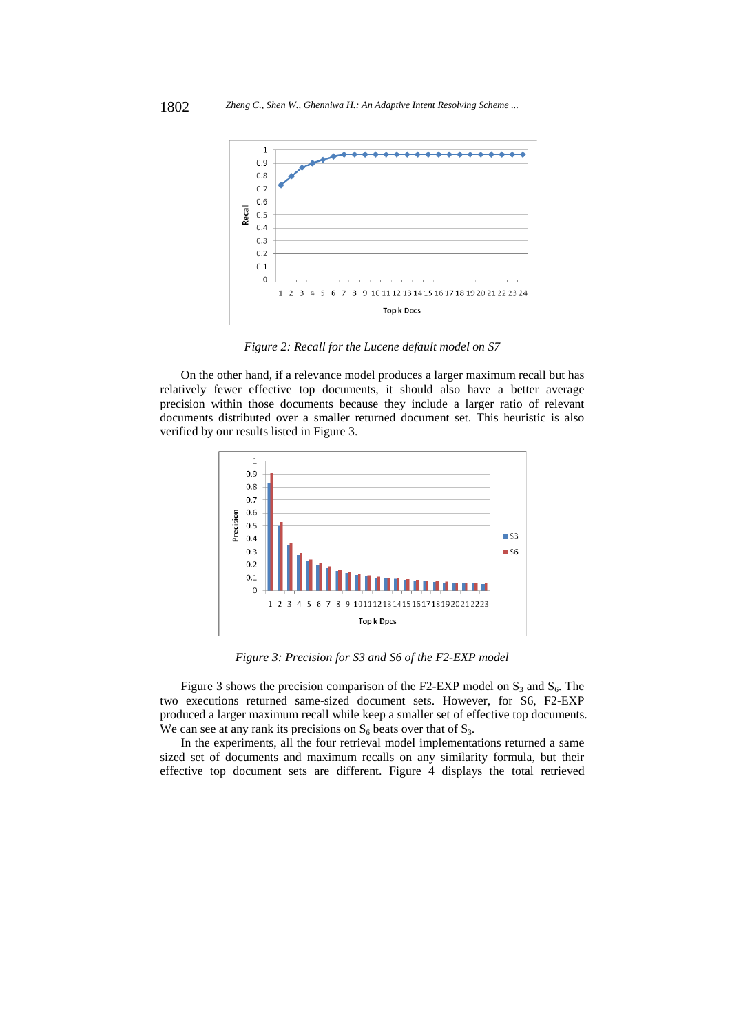

*Figure 2: Recall for the Lucene default model on S7*

On the other hand, if a relevance model produces a larger maximum recall but has relatively fewer effective top documents, it should also have a better average precision within those documents because they include a larger ratio of relevant documents distributed over a smaller returned document set. This heuristic is also verified by our results listed in Figure 3.



*Figure 3: Precision for S3 and S6 of the F2-EXP model* 

Figure 3 shows the precision comparison of the F2-EXP model on  $S_3$  and  $S_6$ . The two executions returned same-sized document sets. However, for S6, F2-EXP produced a larger maximum recall while keep a smaller set of effective top documents. We can see at any rank its precisions on  $S_6$  beats over that of  $S_3$ .

In the experiments, all the four retrieval model implementations returned a same sized set of documents and maximum recalls on any similarity formula, but their effective top document sets are different. Figure 4 displays the total retrieved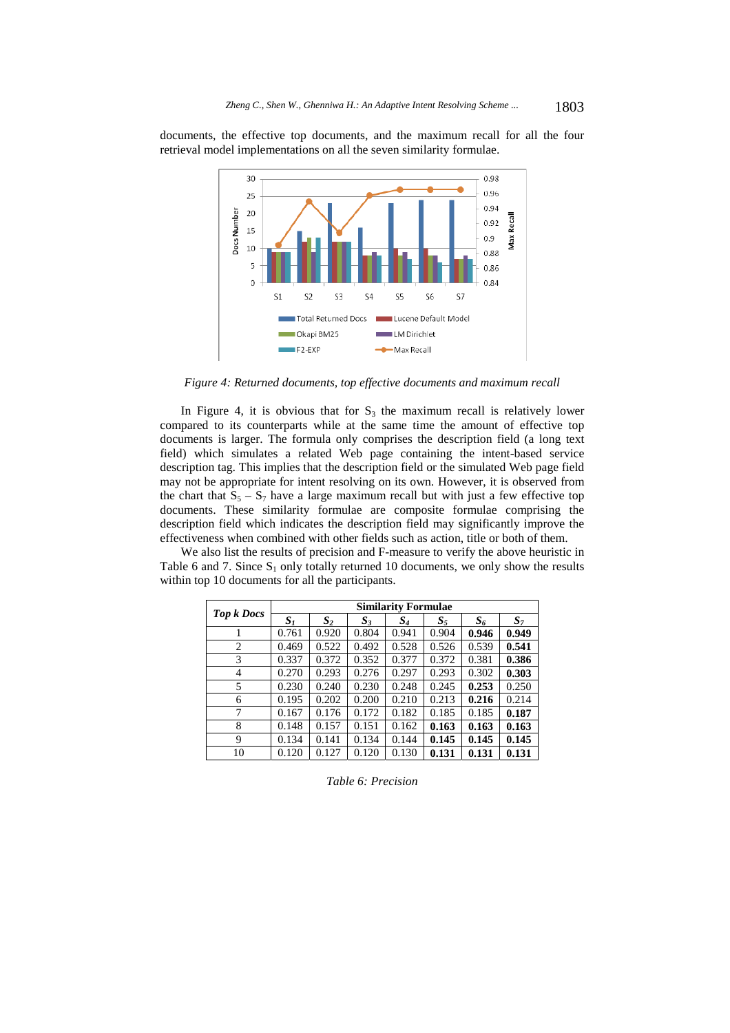documents, the effective top documents, and the maximum recall for all the four retrieval model implementations on all the seven similarity formulae.



*Figure 4: Returned documents, top effective documents and maximum recall* 

In Figure 4, it is obvious that for  $S_3$  the maximum recall is relatively lower compared to its counterparts while at the same time the amount of effective top documents is larger. The formula only comprises the description field (a long text field) which simulates a related Web page containing the intent-based service description tag. This implies that the description field or the simulated Web page field may not be appropriate for intent resolving on its own. However, it is observed from the chart that  $S_5 - S_7$  have a large maximum recall but with just a few effective top documents. These similarity formulae are composite formulae comprising the description field which indicates the description field may significantly improve the effectiveness when combined with other fields such as action, title or both of them.

We also list the results of precision and F-measure to verify the above heuristic in Table 6 and 7. Since  $S_1$  only totally returned 10 documents, we only show the results within top 10 documents for all the participants.

| <b>Top k Docs</b> | <b>Similarity Formulae</b> |       |       |       |       |       |                |
|-------------------|----------------------------|-------|-------|-------|-------|-------|----------------|
|                   | S <sub>1</sub>             | $S_2$ | $S_3$ | $S_4$ | $S_5$ | $S_6$ | S <sub>7</sub> |
| 1                 | 0.761                      | 0.920 | 0.804 | 0.941 | 0.904 | 0.946 | 0.949          |
| 2                 | 0.469                      | 0.522 | 0.492 | 0.528 | 0.526 | 0.539 | 0.541          |
| 3                 | 0.337                      | 0.372 | 0.352 | 0.377 | 0.372 | 0.381 | 0.386          |
| 4                 | 0.270                      | 0.293 | 0.276 | 0.297 | 0.293 | 0.302 | 0.303          |
| 5                 | 0.230                      | 0.240 | 0.230 | 0.248 | 0.245 | 0.253 | 0.250          |
| 6                 | 0.195                      | 0.202 | 0.200 | 0.210 | 0.213 | 0.216 | 0.214          |
| 7                 | 0.167                      | 0.176 | 0.172 | 0.182 | 0.185 | 0.185 | 0.187          |
| 8                 | 0.148                      | 0.157 | 0.151 | 0.162 | 0.163 | 0.163 | 0.163          |
| 9                 | 0.134                      | 0.141 | 0.134 | 0.144 | 0.145 | 0.145 | 0.145          |
| 10                | 0.120                      | 0.127 | 0.120 | 0.130 | 0.131 | 0.131 | 0.131          |

*Table 6: Precision*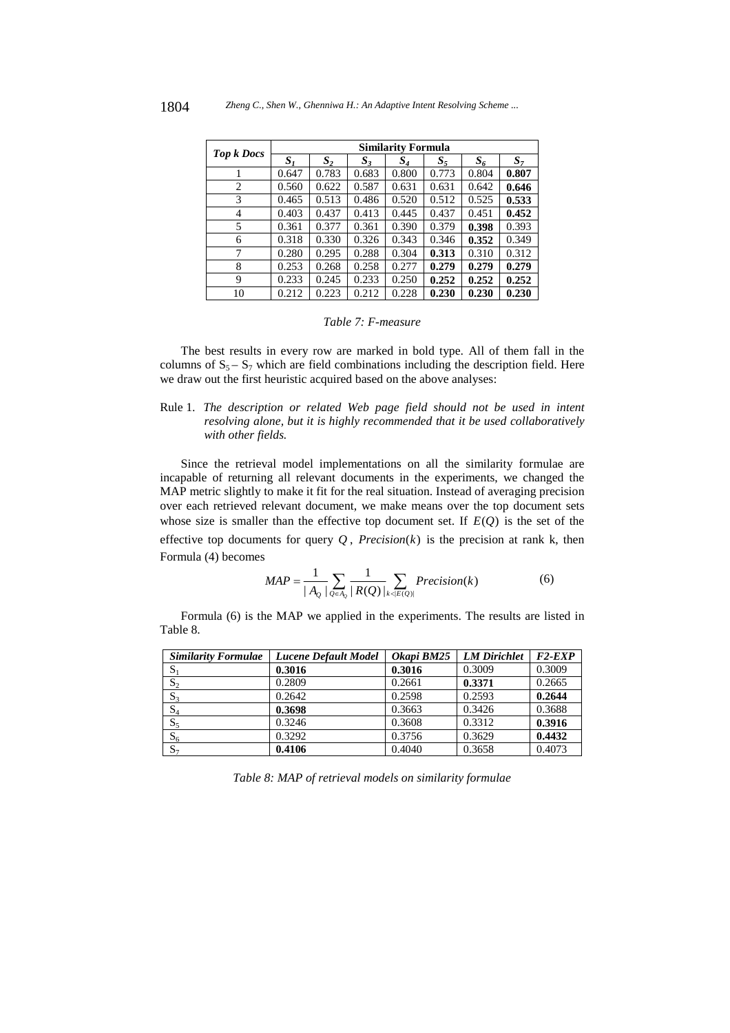|                   |       | Similarity Formula |       |       |       |       |       |  |
|-------------------|-------|--------------------|-------|-------|-------|-------|-------|--|
| <b>Top k Docs</b> | $S_I$ | $S_2$              | $S_3$ | $S_4$ | $S_5$ | $S_6$ | $S_7$ |  |
|                   | 0.647 | 0.783              | 0.683 | 0.800 | 0.773 | 0.804 | 0.807 |  |
| 2                 | 0.560 | 0.622              | 0.587 | 0.631 | 0.631 | 0.642 | 0.646 |  |
| 3                 | 0.465 | 0.513              | 0.486 | 0.520 | 0.512 | 0.525 | 0.533 |  |
| 4                 | 0.403 | 0.437              | 0.413 | 0.445 | 0.437 | 0.451 | 0.452 |  |
| 5                 | 0.361 | 0.377              | 0.361 | 0.390 | 0.379 | 0.398 | 0.393 |  |
| 6                 | 0.318 | 0.330              | 0.326 | 0.343 | 0.346 | 0.352 | 0.349 |  |
| 7                 | 0.280 | 0.295              | 0.288 | 0.304 | 0.313 | 0.310 | 0.312 |  |
| 8                 | 0.253 | 0.268              | 0.258 | 0.277 | 0.279 | 0.279 | 0.279 |  |
| 9                 | 0.233 | 0.245              | 0.233 | 0.250 | 0.252 | 0.252 | 0.252 |  |
| 10                | 0.212 | 0.223              | 0.212 | 0.228 | 0.230 | 0.230 | 0.230 |  |

#### *Table 7: F-measure*

The best results in every row are marked in bold type. All of them fall in the columns of  $S_5 - S_7$  which are field combinations including the description field. Here we draw out the first heuristic acquired based on the above analyses:

### Rule 1. *The description or related Web page field should not be used in intent resolving alone, but it is highly recommended that it be used collaboratively with other fields.*

Since the retrieval model implementations on all the similarity formulae are incapable of returning all relevant documents in the experiments, we changed the MAP metric slightly to make it fit for the real situation. Instead of averaging precision over each retrieved relevant document, we make means over the top document sets whose size is smaller than the effective top document set. If  $E(Q)$  is the set of the effective top documents for query  $Q$ , *Precision*( $k$ ) is the precision at rank k, then Formula (4) becomes

$$
MAP = \frac{1}{|A_Q|} \sum_{Q \in A_Q} \frac{1}{|R(Q)|} \sum_{k < |E(Q)|} Precision(k) \tag{6}
$$

Formula (6) is the MAP we applied in the experiments. The results are listed in Table 8.

| <b>Similarity Formulae</b> | Lucene Default Model | Okapi BM25 | <b>LM</b> Dirichlet | $F2$ - $EXP$ |
|----------------------------|----------------------|------------|---------------------|--------------|
| $S_1$                      | 0.3016               | 0.3016     | 0.3009              | 0.3009       |
| $S_2$                      | 0.2809               | 0.2661     | 0.3371              | 0.2665       |
| $S_3$                      | 0.2642               | 0.2598     | 0.2593              | 0.2644       |
| $\mathrm{S}_4$             | 0.3698               | 0.3663     | 0.3426              | 0.3688       |
| $S_5$                      | 0.3246               | 0.3608     | 0.3312              | 0.3916       |
| $S_6$                      | 0.3292               | 0.3756     | 0.3629              | 0.4432       |
| $S_7$                      | 0.4106               | 0.4040     | 0.3658              | 0.4073       |

*Table 8: MAP of retrieval models on similarity formulae*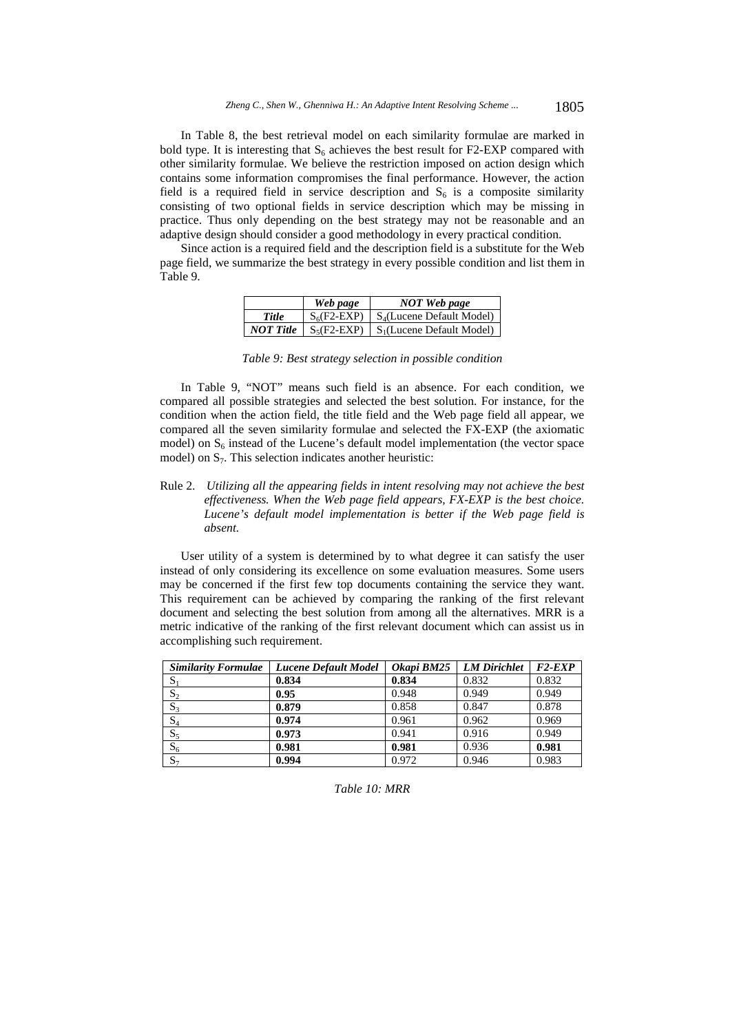In Table 8, the best retrieval model on each similarity formulae are marked in bold type. It is interesting that  $S_6$  achieves the best result for F2-EXP compared with other similarity formulae. We believe the restriction imposed on action design which contains some information compromises the final performance. However, the action field is a required field in service description and  $S<sub>6</sub>$  is a composite similarity consisting of two optional fields in service description which may be missing in practice. Thus only depending on the best strategy may not be reasonable and an adaptive design should consider a good methodology in every practical condition.

Since action is a required field and the description field is a substitute for the Web page field, we summarize the best strategy in every possible condition and list them in Table 9.

|                  | Web page | <b>NOT</b> Web page                                |
|------------------|----------|----------------------------------------------------|
| Title            |          | $S_6$ (F2-EXP)   $S_4$ (Lucene Default Model)      |
| <b>NOT Title</b> |          | $\mid S_5(F2-EXP) \mid S_1(Lu$ cene Default Model) |

*Table 9: Best strategy selection in possible condition* 

In Table 9, "NOT" means such field is an absence. For each condition, we compared all possible strategies and selected the best solution. For instance, for the condition when the action field, the title field and the Web page field all appear, we compared all the seven similarity formulae and selected the FX-EXP (the axiomatic model) on  $S_6$  instead of the Lucene's default model implementation (the vector space model) on  $S_7$ . This selection indicates another heuristic:

Rule 2. *Utilizing all the appearing fields in intent resolving may not achieve the best effectiveness. When the Web page field appears, FX-EXP is the best choice. Lucene's default model implementation is better if the Web page field is absent.*

User utility of a system is determined by to what degree it can satisfy the user instead of only considering its excellence on some evaluation measures. Some users may be concerned if the first few top documents containing the service they want. This requirement can be achieved by comparing the ranking of the first relevant document and selecting the best solution from among all the alternatives. MRR is a metric indicative of the ranking of the first relevant document which can assist us in accomplishing such requirement.

| <b>Similarity Formulae</b> | <b>Lucene Default Model</b> | Okapi BM25 | <b>LM Dirichlet</b> | $F2$ - $EXP$ |
|----------------------------|-----------------------------|------------|---------------------|--------------|
| $S_1$                      | 0.834                       | 0.834      | 0.832               | 0.832        |
| $S_2$                      | 0.95                        | 0.948      | 0.949               | 0.949        |
| $S_3$                      | 0.879                       | 0.858      | 0.847               | 0.878        |
| $S_4$                      | 0.974                       | 0.961      | 0.962               | 0.969        |
| $S_5$                      | 0.973                       | 0.941      | 0.916               | 0.949        |
| $S_6$                      | 0.981                       | 0.981      | 0.936               | 0.981        |
| $S_7$                      | 0.994                       | 0.972      | 0.946               | 0.983        |

#### *Table 10: MRR*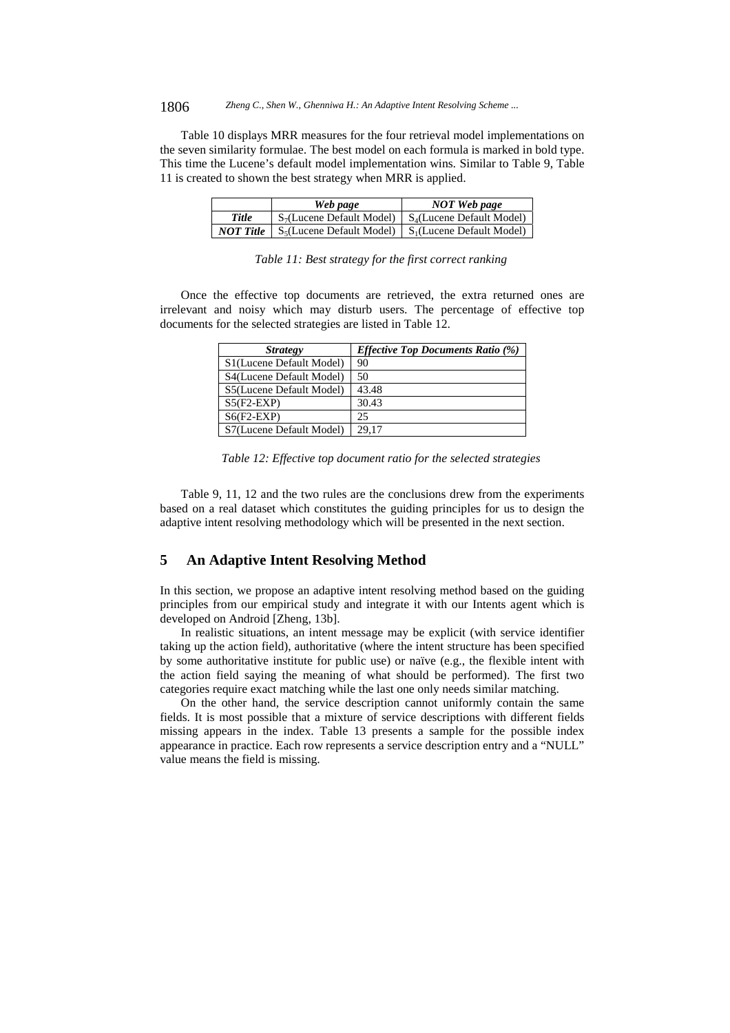#### 1806 *Zheng C., Shen W., Ghenniwa H.: An Adaptive Intent Resolving Scheme ...*

Table 10 displays MRR measures for the four retrieval model implementations on the seven similarity formulae. The best model on each formula is marked in bold type. This time the Lucene's default model implementation wins. Similar to Table 9, Table 11 is created to shown the best strategy when MRR is applied.

|                  | Web page                                                            | NOT Web page |
|------------------|---------------------------------------------------------------------|--------------|
| <b>Title</b>     | $S_7$ (Lucene Default Model)   $S_4$ (Lucene Default Model)         |              |
| <b>NOT</b> Title | $\mid S_5(Lu$ cene Default Model $)\mid S_1(Lu)$ cene Default Model |              |

|  |  | Table 11: Best strategy for the first correct ranking |  |
|--|--|-------------------------------------------------------|--|
|  |  |                                                       |  |

Once the effective top documents are retrieved, the extra returned ones are irrelevant and noisy which may disturb users. The percentage of effective top documents for the selected strategies are listed in Table 12.

| <b>Strategy</b>          | <b>Effective Top Documents Ratio (%)</b> |
|--------------------------|------------------------------------------|
| S1(Lucene Default Model) | 90                                       |
| S4(Lucene Default Model) | 50                                       |
| S5(Lucene Default Model) | 43.48                                    |
| $S5(F2-EXP)$             | 30.43                                    |
| $S6(F2-EXP)$             | 25                                       |
| S7(Lucene Default Model) | 29.17                                    |

*Table 12: Effective top document ratio for the selected strategies* 

Table 9, 11, 12 and the two rules are the conclusions drew from the experiments based on a real dataset which constitutes the guiding principles for us to design the adaptive intent resolving methodology which will be presented in the next section.

# **5 An Adaptive Intent Resolving Method**

In this section, we propose an adaptive intent resolving method based on the guiding principles from our empirical study and integrate it with our Intents agent which is developed on Android [Zheng, 13b].

In realistic situations, an intent message may be explicit (with service identifier taking up the action field), authoritative (where the intent structure has been specified by some authoritative institute for public use) or naïve (e.g., the flexible intent with the action field saying the meaning of what should be performed). The first two categories require exact matching while the last one only needs similar matching.

On the other hand, the service description cannot uniformly contain the same fields. It is most possible that a mixture of service descriptions with different fields missing appears in the index. Table 13 presents a sample for the possible index appearance in practice. Each row represents a service description entry and a "NULL" value means the field is missing.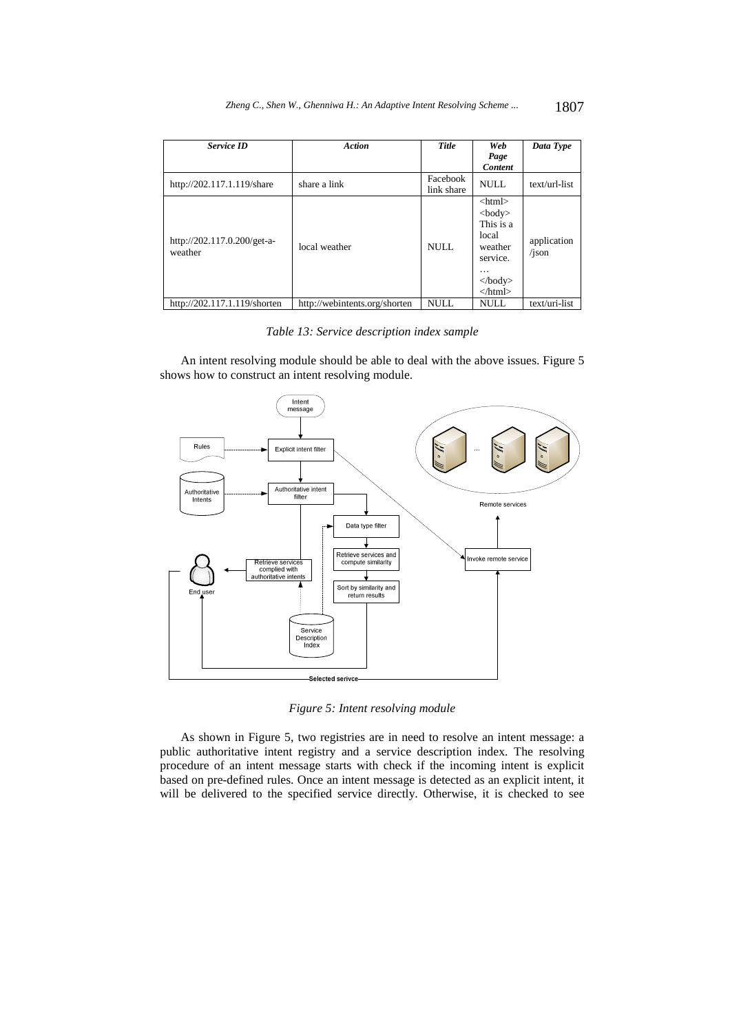| <b>Service ID</b>                      | <b>Action</b>                 | <b>Title</b>           | Web<br>Page<br><b>Content</b>                                                                                                               | Data Type            |
|----------------------------------------|-------------------------------|------------------------|---------------------------------------------------------------------------------------------------------------------------------------------|----------------------|
| http://202.117.1.119/share             | share a link                  | Facebook<br>link share | NULL.                                                                                                                                       | text/url-list        |
| http://202.117.0.200/get-a-<br>weather | local weather                 | <b>NULL</b>            | $\langle$ html $>$<br>$<$ body $>$<br>This is a<br>local<br>weather<br>service.<br>.<br>$\langle \cdot \rangle$ body><br>$\langle$ html $>$ | application<br>/json |
| http://202.117.1.119/shorten           | http://webintents.org/shorten | <b>NULL</b>            | <b>NULL</b>                                                                                                                                 | text/uri-list        |

*Table 13: Service description index sample* 

An intent resolving module should be able to deal with the above issues. Figure 5 shows how to construct an intent resolving module.



*Figure 5: Intent resolving module*

As shown in Figure 5, two registries are in need to resolve an intent message: a public authoritative intent registry and a service description index. The resolving procedure of an intent message starts with check if the incoming intent is explicit based on pre-defined rules. Once an intent message is detected as an explicit intent, it will be delivered to the specified service directly. Otherwise, it is checked to see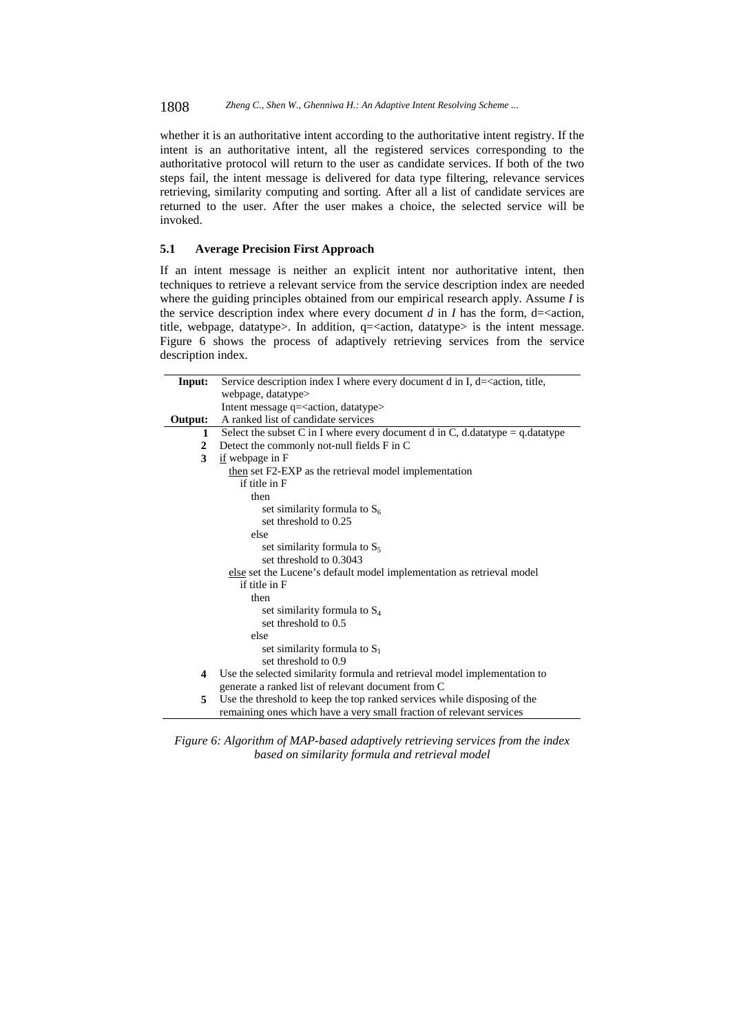1808 *Zheng C., Shen W., Ghenniwa H.: An Adaptive Intent Resolving Scheme ...*

whether it is an authoritative intent according to the authoritative intent registry. If the intent is an authoritative intent, all the registered services corresponding to the authoritative protocol will return to the user as candidate services. If both of the two steps fail, the intent message is delivered for data type filtering, relevance services retrieving, similarity computing and sorting. After all a list of candidate services are returned to the user. After the user makes a choice, the selected service will be invoked.

# **5.1 Average Precision First Approach**

If an intent message is neither an explicit intent nor authoritative intent, then techniques to retrieve a relevant service from the service description index are needed where the guiding principles obtained from our empirical research apply. Assume *I* is the service description index where every document  $d$  in  $I$  has the form, d= $\alpha$  action, title, webpage, datatype $>$ . In addition, q= $\alpha$  action, datatype $>$  is the intent message. Figure 6 shows the process of adaptively retrieving services from the service description index.

| Input:       | Service description index I where every document d in I, d= <action, th="" title,<=""></action,> |  |  |
|--------------|--------------------------------------------------------------------------------------------------|--|--|
|              | webpage, datatype>                                                                               |  |  |
|              | Intent message q= <action, datatype=""></action,>                                                |  |  |
| Output:      | A ranked list of candidate services                                                              |  |  |
| 1            | Select the subset C in I where every document d in C, d.datatype = $q$ .datatype                 |  |  |
| $\mathbf{2}$ | Detect the commonly not-null fields F in C                                                       |  |  |
| 3            | if webpage in F                                                                                  |  |  |
|              | then set F2-EXP as the retrieval model implementation                                            |  |  |
|              | if title in F                                                                                    |  |  |
|              | then                                                                                             |  |  |
|              | set similarity formula to $S_6$                                                                  |  |  |
|              | set threshold to 0.25                                                                            |  |  |
|              | else                                                                                             |  |  |
|              | set similarity formula to $S_5$                                                                  |  |  |
|              | set threshold to 0.3043                                                                          |  |  |
|              | else set the Lucene's default model implementation as retrieval model                            |  |  |
|              | if title in F                                                                                    |  |  |
|              | then                                                                                             |  |  |
|              | set similarity formula to $S_4$                                                                  |  |  |
|              | set threshold to 0.5                                                                             |  |  |
|              | else                                                                                             |  |  |
|              | set similarity formula to $S_1$                                                                  |  |  |
|              | set threshold to 0.9                                                                             |  |  |
| 4            | Use the selected similarity formula and retrieval model implementation to                        |  |  |
|              | generate a ranked list of relevant document from C                                               |  |  |
| 5            | Use the threshold to keep the top ranked services while disposing of the                         |  |  |
|              | remaining ones which have a very small fraction of relevant services                             |  |  |

*Figure 6: Algorithm of MAP-based adaptively retrieving services from the index based on similarity formula and retrieval model*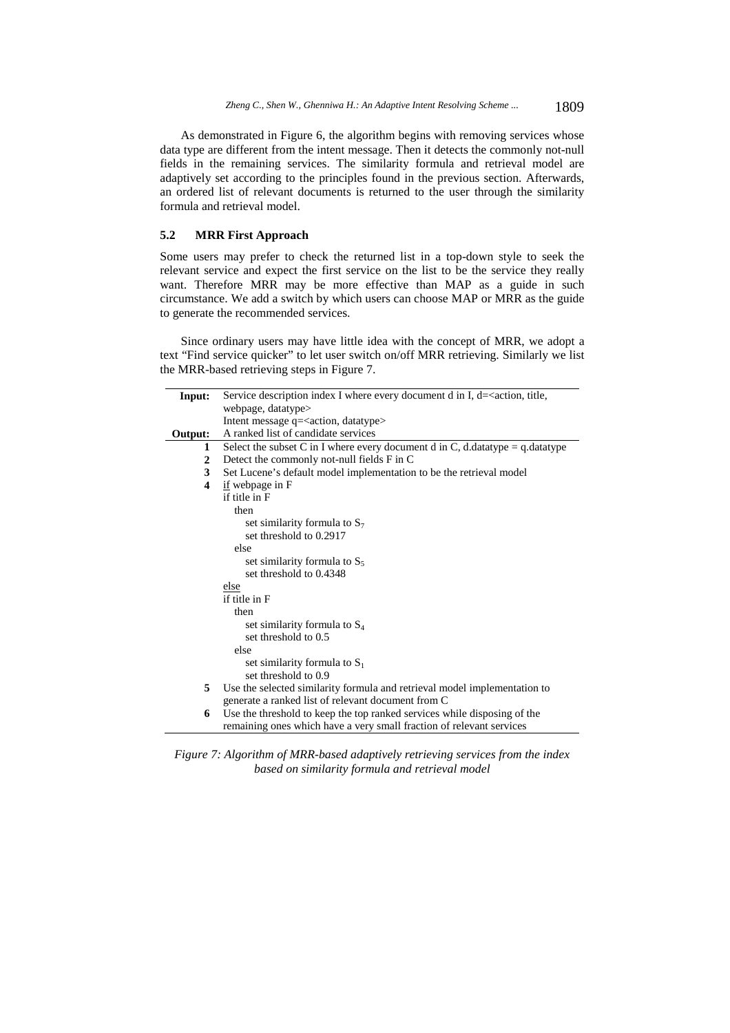As demonstrated in Figure 6, the algorithm begins with removing services whose data type are different from the intent message. Then it detects the commonly not-null fields in the remaining services. The similarity formula and retrieval model are adaptively set according to the principles found in the previous section. Afterwards, an ordered list of relevant documents is returned to the user through the similarity formula and retrieval model.

# **5.2 MRR First Approach**

Some users may prefer to check the returned list in a top-down style to seek the relevant service and expect the first service on the list to be the service they really want. Therefore MRR may be more effective than MAP as a guide in such circumstance. We add a switch by which users can choose MAP or MRR as the guide to generate the recommended services.

Since ordinary users may have little idea with the concept of MRR, we adopt a text "Find service quicker" to let user switch on/off MRR retrieving. Similarly we list the MRR-based retrieving steps in Figure 7.

| Input:  | Service description index I where every document d in I, $d=$ <action, th="" title,<=""></action,>                              |  |  |  |
|---------|---------------------------------------------------------------------------------------------------------------------------------|--|--|--|
|         | webpage, datatype>                                                                                                              |  |  |  |
|         | Intent message q= <action, datatype=""></action,>                                                                               |  |  |  |
| Output: | A ranked list of candidate services                                                                                             |  |  |  |
| 1       | Select the subset C in I where every document d in C, d.datatype = $q$ .datatype                                                |  |  |  |
| 2       | Detect the commonly not-null fields F in C                                                                                      |  |  |  |
| 3       | Set Lucene's default model implementation to be the retrieval model                                                             |  |  |  |
| 4       | $\underline{\text{if}}$ webpage in F                                                                                            |  |  |  |
|         | if title in F                                                                                                                   |  |  |  |
|         | then                                                                                                                            |  |  |  |
|         | set similarity formula to $S_7$                                                                                                 |  |  |  |
|         | set threshold to 0.2917                                                                                                         |  |  |  |
|         | else                                                                                                                            |  |  |  |
|         | set similarity formula to $S_5$                                                                                                 |  |  |  |
|         | set threshold to 0.4348                                                                                                         |  |  |  |
|         | else                                                                                                                            |  |  |  |
|         | if title in F                                                                                                                   |  |  |  |
|         | then                                                                                                                            |  |  |  |
|         | set similarity formula to $S_4$                                                                                                 |  |  |  |
|         | set threshold to 0.5                                                                                                            |  |  |  |
|         | else                                                                                                                            |  |  |  |
|         | set similarity formula to $S_1$                                                                                                 |  |  |  |
|         | set threshold to 0.9                                                                                                            |  |  |  |
| 5       | Use the selected similarity formula and retrieval model implementation to<br>generate a ranked list of relevant document from C |  |  |  |
| 6       | Use the threshold to keep the top ranked services while disposing of the                                                        |  |  |  |
|         | remaining ones which have a very small fraction of relevant services                                                            |  |  |  |

*Figure 7: Algorithm of MRR-based adaptively retrieving services from the index based on similarity formula and retrieval model*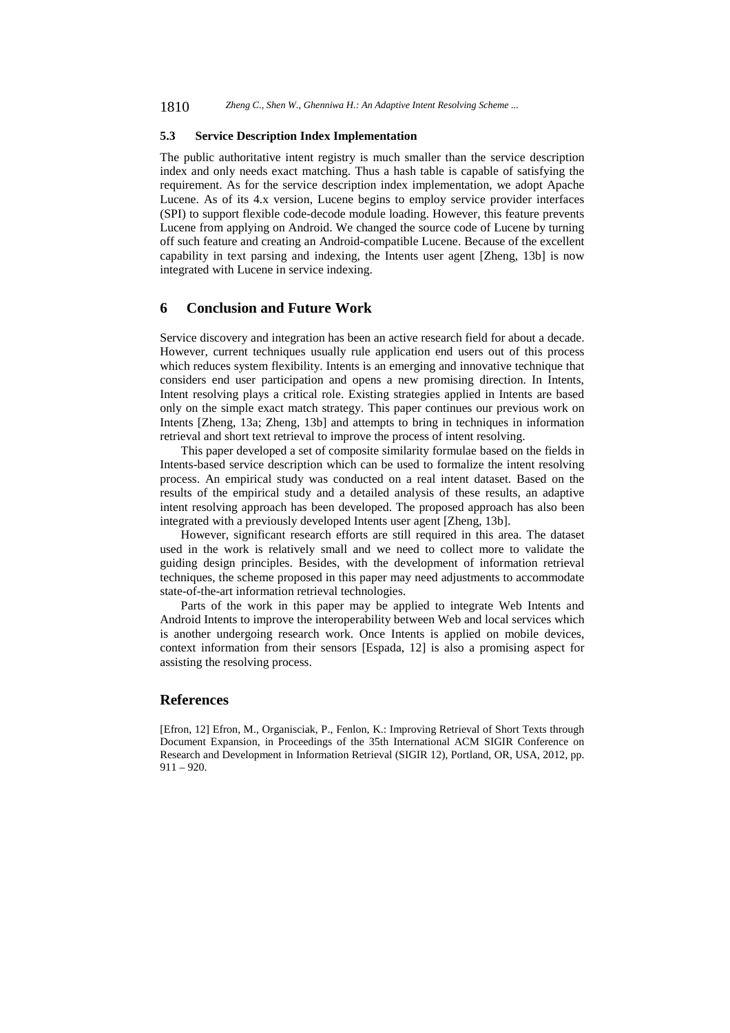### **5.3 Service Description Index Implementation**

The public authoritative intent registry is much smaller than the service description index and only needs exact matching. Thus a hash table is capable of satisfying the requirement. As for the service description index implementation, we adopt Apache Lucene. As of its 4.x version, Lucene begins to employ service provider interfaces (SPI) to support flexible code-decode module loading. However, this feature prevents Lucene from applying on Android. We changed the source code of Lucene by turning off such feature and creating an Android-compatible Lucene. Because of the excellent capability in text parsing and indexing, the Intents user agent [Zheng, 13b] is now integrated with Lucene in service indexing.

# **6 Conclusion and Future Work**

Service discovery and integration has been an active research field for about a decade. However, current techniques usually rule application end users out of this process which reduces system flexibility. Intents is an emerging and innovative technique that considers end user participation and opens a new promising direction. In Intents, Intent resolving plays a critical role. Existing strategies applied in Intents are based only on the simple exact match strategy. This paper continues our previous work on Intents [Zheng, 13a; Zheng, 13b] and attempts to bring in techniques in information retrieval and short text retrieval to improve the process of intent resolving.

This paper developed a set of composite similarity formulae based on the fields in Intents-based service description which can be used to formalize the intent resolving process. An empirical study was conducted on a real intent dataset. Based on the results of the empirical study and a detailed analysis of these results, an adaptive intent resolving approach has been developed. The proposed approach has also been integrated with a previously developed Intents user agent [Zheng, 13b].

However, significant research efforts are still required in this area. The dataset used in the work is relatively small and we need to collect more to validate the guiding design principles. Besides, with the development of information retrieval techniques, the scheme proposed in this paper may need adjustments to accommodate state-of-the-art information retrieval technologies.

Parts of the work in this paper may be applied to integrate Web Intents and Android Intents to improve the interoperability between Web and local services which is another undergoing research work. Once Intents is applied on mobile devices, context information from their sensors [Espada, 12] is also a promising aspect for assisting the resolving process.

# **References**

[Efron, 12] Efron, M., Organisciak, P., Fenlon, K.: Improving Retrieval of Short Texts through Document Expansion, in Proceedings of the 35th International ACM SIGIR Conference on Research and Development in Information Retrieval (SIGIR 12), Portland, OR, USA, 2012, pp. 911 – 920.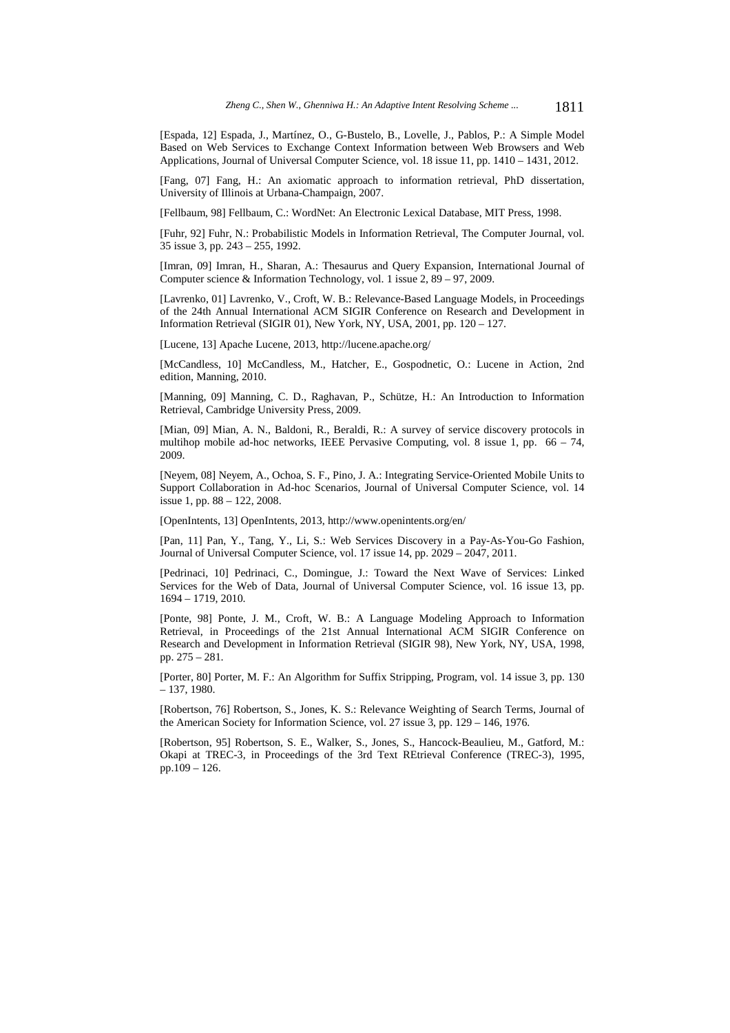[Espada, 12] Espada, J., Martínez, O., G-Bustelo, B., Lovelle, J., Pablos, P.: A Simple Model Based on Web Services to Exchange Context Information between Web Browsers and Web Applications, Journal of Universal Computer Science, vol. 18 issue 11, pp. 1410 – 1431, 2012.

[Fang, 07] Fang, H.: An axiomatic approach to information retrieval, PhD dissertation, University of Illinois at Urbana-Champaign, 2007.

[Fellbaum, 98] Fellbaum, C.: WordNet: An Electronic Lexical Database, MIT Press, 1998.

[Fuhr, 92] Fuhr, N.: Probabilistic Models in Information Retrieval, The Computer Journal, vol. 35 issue 3, pp. 243 – 255, 1992.

[Imran, 09] Imran, H., Sharan, A.: Thesaurus and Query Expansion, International Journal of Computer science & Information Technology, vol. 1 issue  $2, 89 - 97, 2009$ .

[Lavrenko, 01] Lavrenko, V., Croft, W. B.: Relevance-Based Language Models, in Proceedings of the 24th Annual International ACM SIGIR Conference on Research and Development in Information Retrieval (SIGIR 01), New York, NY, USA, 2001, pp. 120 – 127.

[Lucene, 13] Apache Lucene, 2013, http://lucene.apache.org/

[McCandless, 10] McCandless, M., Hatcher, E., Gospodnetic, O.: Lucene in Action, 2nd edition, Manning, 2010.

[Manning, 09] Manning, C. D., Raghavan, P., Schütze, H.: An Introduction to Information Retrieval, Cambridge University Press, 2009.

[Mian, 09] Mian, A. N., Baldoni, R., Beraldi, R.: A survey of service discovery protocols in multihop mobile ad-hoc networks, IEEE Pervasive Computing, vol. 8 issue 1, pp. 66 – 74, 2009.

[Neyem, 08] Neyem, A., Ochoa, S. F., Pino, J. A.: Integrating Service-Oriented Mobile Units to Support Collaboration in Ad-hoc Scenarios, Journal of Universal Computer Science, vol. 14 issue 1, pp. 88 – 122, 2008.

[OpenIntents, 13] OpenIntents, 2013, http://www.openintents.org/en/

[Pan, 11] Pan, Y., Tang, Y., Li, S.: Web Services Discovery in a Pay-As-You-Go Fashion, Journal of Universal Computer Science, vol. 17 issue 14, pp. 2029 – 2047, 2011.

[Pedrinaci, 10] Pedrinaci, C., Domingue, J.: Toward the Next Wave of Services: Linked Services for the Web of Data, Journal of Universal Computer Science, vol. 16 issue 13, pp. 1694 – 1719, 2010.

[Ponte, 98] Ponte, J. M., Croft, W. B.: A Language Modeling Approach to Information Retrieval, in Proceedings of the 21st Annual International ACM SIGIR Conference on Research and Development in Information Retrieval (SIGIR 98), New York, NY, USA, 1998, pp. 275 – 281.

[Porter, 80] Porter, M. F.: An Algorithm for Suffix Stripping, Program, vol. 14 issue 3, pp. 130 – 137, 1980.

[Robertson, 76] Robertson, S., Jones, K. S.: Relevance Weighting of Search Terms, Journal of the American Society for Information Science, vol. 27 issue 3, pp. 129 – 146, 1976.

[Robertson, 95] Robertson, S. E., Walker, S., Jones, S., Hancock-Beaulieu, M., Gatford, M.: Okapi at TREC-3, in Proceedings of the 3rd Text REtrieval Conference (TREC-3), 1995, pp.109 – 126.